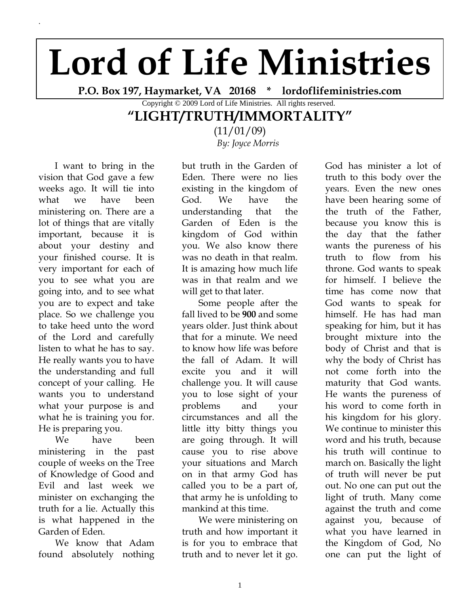## **Lord of Life Ministries**

**P.O. Box 197, Haymarket, VA 20168 \* lordoflifeministries.com**

Copyright © 2009 Lord of Life Ministries. All rights reserved.

## **"LIGHT/TRUTH/IMMORTALITY"**

(11/01/09) *By: Joyce Morris*

 I want to bring in the vision that God gave a few weeks ago. It will tie into what we have been ministering on. There are a lot of things that are vitally important, because it is about your destiny and your finished course. It is very important for each of you to see what you are going into, and to see what you are to expect and take place. So we challenge you to take heed unto the word of the Lord and carefully listen to what he has to say. He really wants you to have the understanding and full concept of your calling. He wants you to understand what your purpose is and what he is training you for. He is preparing you.

.

We have been ministering in the past couple of weeks on the Tree of Knowledge of Good and Evil and last week we minister on exchanging the truth for a lie. Actually this is what happened in the Garden of Eden.

We know that Adam found absolutely nothing

but truth in the Garden of Eden. There were no lies existing in the kingdom of God. We have the understanding that the Garden of Eden is the kingdom of God within you. We also know there was no death in that realm. It is amazing how much life was in that realm and we will get to that later.

Some people after the fall lived to be **900** and some years older. Just think about that for a minute. We need to know how life was before the fall of Adam. It will excite you and it will challenge you. It will cause you to lose sight of your problems and your circumstances and all the little itty bitty things you are going through. It will cause you to rise above your situations and March on in that army God has called you to be a part of, that army he is unfolding to mankind at this time.

We were ministering on truth and how important it is for you to embrace that truth and to never let it go.

God has minister a lot of truth to this body over the years. Even the new ones have been hearing some of the truth of the Father, because you know this is the day that the father wants the pureness of his truth to flow from his throne. God wants to speak for himself. I believe the time has come now that God wants to speak for himself. He has had man speaking for him, but it has brought mixture into the body of Christ and that is why the body of Christ has not come forth into the maturity that God wants. He wants the pureness of his word to come forth in his kingdom for his glory. We continue to minister this word and his truth, because his truth will continue to march on. Basically the light of truth will never be put out. No one can put out the light of truth. Many come against the truth and come against you, because of what you have learned in the Kingdom of God, No one can put the light of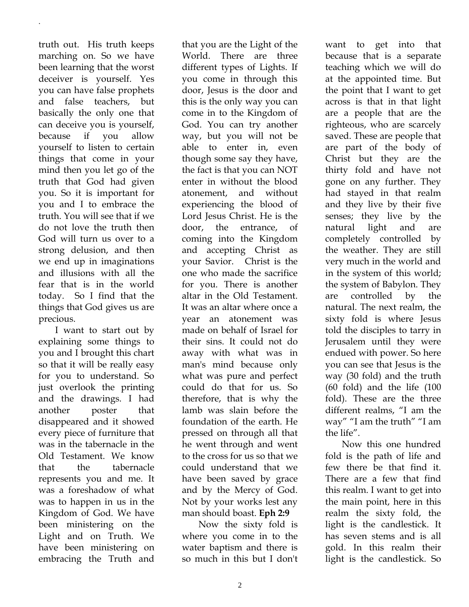truth out. His truth keeps marching on. So we have been learning that the worst deceiver is yourself. Yes you can have false prophets and false teachers, but basically the only one that can deceive you is yourself, because if you allow yourself to listen to certain things that come in your mind then you let go of the truth that God had given you. So it is important for you and I to embrace the truth. You will see that if we do not love the truth then God will turn us over to a strong delusion, and then we end up in imaginations and illusions with all the fear that is in the world today. So I find that the things that God gives us are precious.

.

I want to start out by explaining some things to you and I brought this chart so that it will be really easy for you to understand. So just overlook the printing and the drawings. I had another poster that disappeared and it showed every piece of furniture that was in the tabernacle in the Old Testament. We know that the tabernacle represents you and me. It was a foreshadow of what was to happen in us in the Kingdom of God. We have been ministering on the Light and on Truth. We have been ministering on embracing the Truth and

that you are the Light of the World. There are three different types of Lights. If you come in through this door, Jesus is the door and this is the only way you can come in to the Kingdom of God. You can try another way, but you will not be able to enter in, even though some say they have, the fact is that you can NOT enter in without the blood atonement, and without experiencing the blood of Lord Jesus Christ. He is the door, the entrance, of coming into the Kingdom and accepting Christ as your Savior. Christ is the one who made the sacrifice for you. There is another altar in the Old Testament. It was an altar where once a year an atonement was made on behalf of Israel for their sins. It could not do away with what was in man's mind because only what was pure and perfect could do that for us. So therefore, that is why the lamb was slain before the foundation of the earth. He pressed on through all that he went through and went to the cross for us so that we could understand that we have been saved by grace and by the Mercy of God. Not by your works lest any man should boast. **Eph 2:9**

Now the sixty fold is where you come in to the water baptism and there is so much in this but I don't

want to get into that because that is a separate teaching which we will do at the appointed time. But the point that I want to get across is that in that light are a people that are the righteous, who are scarcely saved. These are people that are part of the body of Christ but they are the thirty fold and have not gone on any further. They had stayed in that realm and they live by their five senses; they live by the natural light and are completely controlled by the weather. They are still very much in the world and in the system of this world; the system of Babylon. They are controlled by the natural. The next realm, the sixty fold is where Jesus told the disciples to tarry in Jerusalem until they were endued with power. So here you can see that Jesus is the way (30 fold) and the truth (60 fold) and the life (100 fold). These are the three different realms, "I am the way" "I am the truth" "I am the life".

Now this one hundred fold is the path of life and few there be that find it. There are a few that find this realm. I want to get into the main point, here in this realm the sixty fold, the light is the candlestick. It has seven stems and is all gold. In this realm their light is the candlestick. So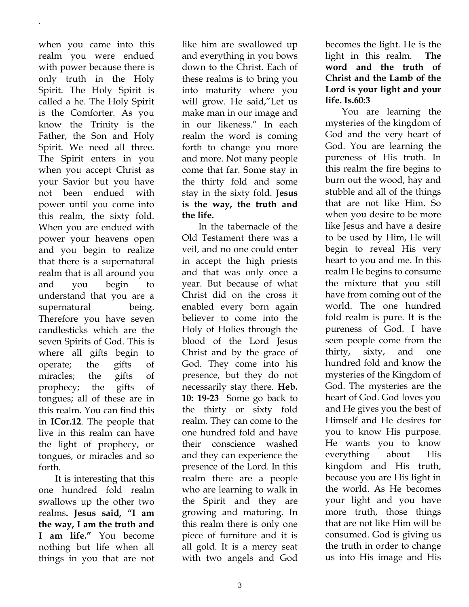when you came into this realm you were endued with power because there is only truth in the Holy Spirit. The Holy Spirit is called a he. The Holy Spirit is the Comforter. As you know the Trinity is the Father, the Son and Holy Spirit. We need all three. The Spirit enters in you when you accept Christ as your Savior but you have not been endued with power until you come into this realm, the sixty fold. When you are endued with power your heavens open and you begin to realize that there is a supernatural realm that is all around you and you begin to understand that you are a supernatural being. Therefore you have seven candlesticks which are the seven Spirits of God. This is where all gifts begin to operate; the gifts of miracles; the gifts of prophecy; the gifts of tongues; all of these are in this realm. You can find this in **ICor.12**. The people that live in this realm can have the light of prophecy, or tongues, or miracles and so forth.

.

It is interesting that this one hundred fold realm swallows up the other two realms**. Jesus said, "I am the way, I am the truth and I am life."** You become nothing but life when all things in you that are not

like him are swallowed up and everything in you bows down to the Christ. Each of these realms is to bring you into maturity where you will grow. He said,"Let us make man in our image and in our likeness." In each realm the word is coming forth to change you more and more. Not many people come that far. Some stay in the thirty fold and some stay in the sixty fold. **Jesus is the way, the truth and the life.** 

In the tabernacle of the Old Testament there was a veil, and no one could enter in accept the high priests and that was only once a year. But because of what Christ did on the cross it enabled every born again believer to come into the Holy of Holies through the blood of the Lord Jesus Christ and by the grace of God. They come into his presence, but they do not necessarily stay there. **Heb. 10: 19-23** Some go back to the thirty or sixty fold realm. They can come to the one hundred fold and have their conscience washed and they can experience the presence of the Lord. In this realm there are a people who are learning to walk in the Spirit and they are growing and maturing. In this realm there is only one piece of furniture and it is all gold. It is a mercy seat with two angels and God

becomes the light. He is the light in this realm. **The word and the truth of Christ and the Lamb of the Lord is your light and your life. Is.60:3**

You are learning the mysteries of the kingdom of God and the very heart of God. You are learning the pureness of His truth. In this realm the fire begins to burn out the wood, hay and stubble and all of the things that are not like Him. So when you desire to be more like Jesus and have a desire to be used by Him, He will begin to reveal His very heart to you and me. In this realm He begins to consume the mixture that you still have from coming out of the world. The one hundred fold realm is pure. It is the pureness of God. I have seen people come from the thirty, sixty, and one hundred fold and know the mysteries of the Kingdom of God. The mysteries are the heart of God. God loves you and He gives you the best of Himself and He desires for you to know His purpose. He wants you to know everything about His kingdom and His truth, because you are His light in the world. As He becomes your light and you have more truth, those things that are not like Him will be consumed. God is giving us the truth in order to change us into His image and His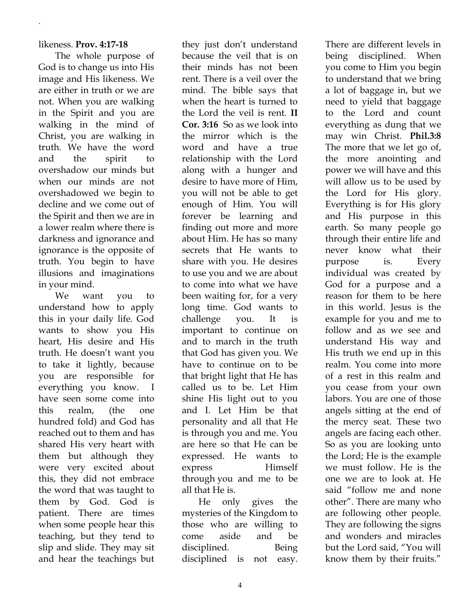## likeness. **Prov. 4:17-18**

.

The whole purpose of God is to change us into His image and His likeness. We are either in truth or we are not. When you are walking in the Spirit and you are walking in the mind of Christ, you are walking in truth. We have the word and the spirit to overshadow our minds but when our minds are not overshadowed we begin to decline and we come out of the Spirit and then we are in a lower realm where there is darkness and ignorance and ignorance is the opposite of truth. You begin to have illusions and imaginations in your mind.

We want you to understand how to apply this in your daily life. God wants to show you His heart, His desire and His truth. He doesn't want you to take it lightly, because you are responsible for everything you know. I have seen some come into this realm, (the one hundred fold) and God has reached out to them and has shared His very heart with them but although they were very excited about this, they did not embrace the word that was taught to them by God. God is patient. There are times when some people hear this teaching, but they tend to slip and slide. They may sit and hear the teachings but

they just don't understand because the veil that is on their minds has not been rent. There is a veil over the mind. The bible says that when the heart is turned to the Lord the veil is rent. **II Cor. 3:16** So as we look into the mirror which is the word and have a true relationship with the Lord along with a hunger and desire to have more of Him, you will not be able to get enough of Him. You will forever be learning and finding out more and more about Him. He has so many secrets that He wants to share with you. He desires to use you and we are about to come into what we have been waiting for, for a very long time. God wants to challenge you. It is important to continue on and to march in the truth that God has given you. We have to continue on to be that bright light that He has called us to be. Let Him shine His light out to you and I. Let Him be that personality and all that He is through you and me. You are here so that He can be expressed. He wants to express Himself through you and me to be all that He is.

He only gives the mysteries of the Kingdom to those who are willing to come aside and be disciplined. Being disciplined is not easy. There are different levels in being disciplined. When you come to Him you begin to understand that we bring a lot of baggage in, but we need to yield that baggage to the Lord and count everything as dung that we may win Christ. **Phil.3:8**  The more that we let go of, the more anointing and power we will have and this will allow us to be used by the Lord for His glory. Everything is for His glory and His purpose in this earth. So many people go through their entire life and never know what their purpose is. Every individual was created by God for a purpose and a reason for them to be here in this world. Jesus is the example for you and me to follow and as we see and understand His way and His truth we end up in this realm. You come into more of a rest in this realm and you cease from your own labors. You are one of those angels sitting at the end of the mercy seat. These two angels are facing each other. So as you are looking unto the Lord; He is the example we must follow. He is the one we are to look at. He said "follow me and none other". There are many who are following other people. They are following the signs and wonders and miracles but the Lord said, "You will know them by their fruits."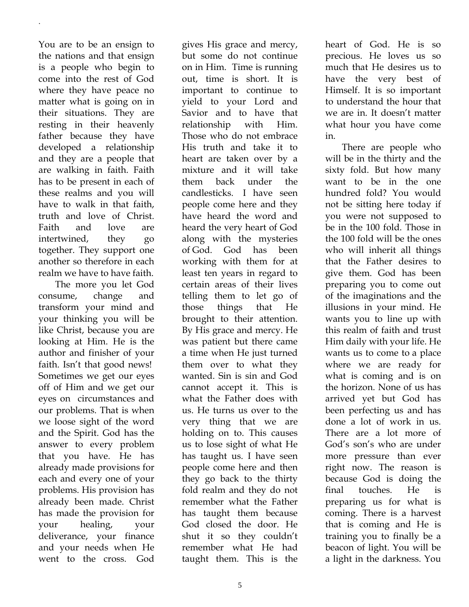You are to be an ensign to the nations and that ensign is a people who begin to come into the rest of God where they have peace no matter what is going on in their situations. They are resting in their heavenly father because they have developed a relationship and they are a people that are walking in faith. Faith has to be present in each of these realms and you will have to walk in that faith, truth and love of Christ. Faith and love are intertwined, they go together. They support one another so therefore in each realm we have to have faith.

.

The more you let God consume, change and transform your mind and your thinking you will be like Christ, because you are looking at Him. He is the author and finisher of your faith. Isn't that good news! Sometimes we get our eyes off of Him and we get our eyes on circumstances and our problems. That is when we loose sight of the word and the Spirit. God has the answer to every problem that you have. He has already made provisions for each and every one of your problems. His provision has already been made. Christ has made the provision for your healing, your deliverance, your finance and your needs when He went to the cross. God

gives His grace and mercy, but some do not continue on in Him. Time is running out, time is short. It is important to continue to yield to your Lord and Savior and to have that relationship with Him. Those who do not embrace His truth and take it to heart are taken over by a mixture and it will take them back under the candlesticks. I have seen people come here and they have heard the word and heard the very heart of God along with the mysteries of God. God has been working with them for at least ten years in regard to certain areas of their lives telling them to let go of those things that He brought to their attention. By His grace and mercy. He was patient but there came a time when He just turned them over to what they wanted. Sin is sin and God cannot accept it. This is what the Father does with us. He turns us over to the very thing that we are holding on to. This causes us to lose sight of what He has taught us. I have seen people come here and then they go back to the thirty fold realm and they do not remember what the Father has taught them because God closed the door. He shut it so they couldn't remember what He had taught them. This is the heart of God. He is so precious. He loves us so much that He desires us to have the very best of Himself. It is so important to understand the hour that we are in. It doesn't matter what hour you have come in.

There are people who will be in the thirty and the sixty fold. But how many want to be in the one hundred fold? You would not be sitting here today if you were not supposed to be in the 100 fold. Those in the 100 fold will be the ones who will inherit all things that the Father desires to give them. God has been preparing you to come out of the imaginations and the illusions in your mind. He wants you to line up with this realm of faith and trust Him daily with your life. He wants us to come to a place where we are ready for what is coming and is on the horizon. None of us has arrived yet but God has been perfecting us and has done a lot of work in us. There are a lot more of God's son's who are under more pressure than ever right now. The reason is because God is doing the final touches. He is preparing us for what is coming. There is a harvest that is coming and He is training you to finally be a beacon of light. You will be a light in the darkness. You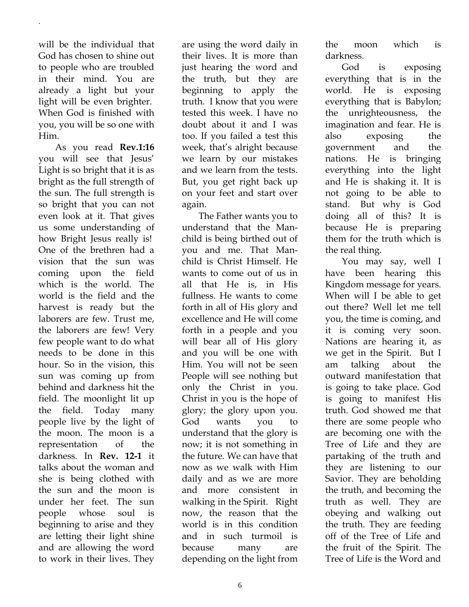will be the individual that God has chosen to shine out to people who are troubled in their mind. You are already a light but your light will be even brighter. When God is finished with you, you will be so one with Him.

.

As you read **Rev.1:16** you will see that Jesus' Light is so bright that it is as bright as the full strength of the sun. The full strength is so bright that you can not even look at it. That gives us some understanding of how Bright Jesus really is! One of the brethren had a vision that the sun was coming upon the field which is the world. The world is the field and the harvest is ready but the laborers are few. Trust me, the laborers are few! Very few people want to do what needs to be done in this hour. So in the vision, this sun was coming up from behind and darkness hit the field. The moonlight lit up the field. Today many people live by the light of the moon. The moon is a representation of the darkness. In **Rev. 12-1** it talks about the woman and she is being clothed with the sun and the moon is under her feet. The sun people whose soul is beginning to arise and they are letting their light shine and are allowing the word to work in their lives. They

are using the word daily in their lives. It is more than just hearing the word and the truth, but they are beginning to apply the truth. I know that you were tested this week. I have no doubt about it and I was too. If you failed a test this week, that's alright because we learn by our mistakes and we learn from the tests. But, you get right back up on your feet and start over again.

The Father wants you to understand that the Manchild is being birthed out of you and me. That Manchild is Christ Himself. He wants to come out of us in all that He is, in His fullness. He wants to come forth in all of His glory and excellence and He will come forth in a people and you will bear all of His glory and you will be one with Him. You will not be seen People will see nothing but only the Christ in you. Christ in you is the hope of glory; the glory upon you. God wants you to understand that the glory is now; it is not something in the future. We can have that now as we walk with Him daily and as we are more and more consistent in walking in the Spirit. Right now, the reason that the world is in this condition and in such turmoil is because many are depending on the light from

the moon which is darkness.

God is exposing everything that is in the world. He is exposing everything that is Babylon; the unrighteousness, the imagination and fear. He is also exposing the government and the nations. He is bringing everything into the light and He is shaking it. It is not going to be able to stand. But why is God doing all of this? It is because He is preparing them for the truth which is the real thing.

You may say, well I have been hearing this Kingdom message for years. When will I be able to get out there? Well let me tell you, the time is coming, and it is coming very soon. Nations are hearing it, as we get in the Spirit. But I am talking about the outward manifestation that is going to take place. God is going to manifest His truth. God showed me that there are some people who are becoming one with the Tree of Life and they are partaking of the truth and they are listening to our Savior. They are beholding the truth, and becoming the truth as well. They are obeying and walking out the truth. They are feeding off of the Tree of Life and the fruit of the Spirit. The Tree of Life is the Word and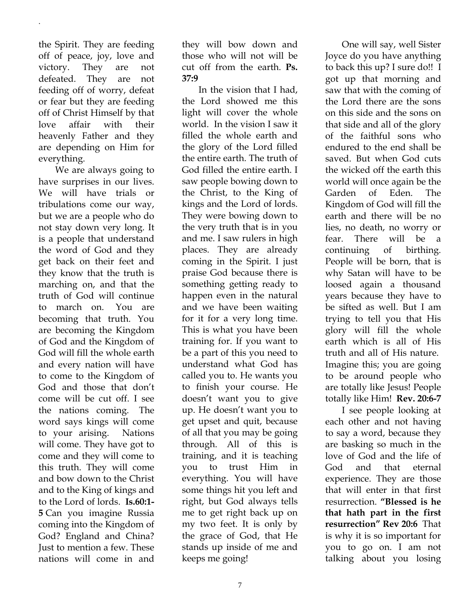the Spirit. They are feeding off of peace, joy, love and victory. They are not defeated. They are not feeding off of worry, defeat or fear but they are feeding off of Christ Himself by that love affair with their heavenly Father and they are depending on Him for everything.

.

We are always going to have surprises in our lives. We will have trials or tribulations come our way, but we are a people who do not stay down very long. It is a people that understand the word of God and they get back on their feet and they know that the truth is marching on, and that the truth of God will continue to march on. You are becoming that truth. You are becoming the Kingdom of God and the Kingdom of God will fill the whole earth and every nation will have to come to the Kingdom of God and those that don't come will be cut off. I see the nations coming. The word says kings will come to your arising. Nations will come. They have got to come and they will come to this truth. They will come and bow down to the Christ and to the King of kings and to the Lord of lords. **Is.60:1- 5** Can you imagine Russia coming into the Kingdom of God? England and China? Just to mention a few. These nations will come in and

they will bow down and those who will not will be cut off from the earth. **Ps. 37:9**

In the vision that I had, the Lord showed me this light will cover the whole world. In the vision I saw it filled the whole earth and the glory of the Lord filled the entire earth. The truth of God filled the entire earth. I saw people bowing down to the Christ, to the King of kings and the Lord of lords. They were bowing down to the very truth that is in you and me. I saw rulers in high places. They are already coming in the Spirit. I just praise God because there is something getting ready to happen even in the natural and we have been waiting for it for a very long time. This is what you have been training for. If you want to be a part of this you need to understand what God has called you to. He wants you to finish your course. He doesn't want you to give up. He doesn't want you to get upset and quit, because of all that you may be going through. All of this is training, and it is teaching you to trust Him in everything. You will have some things hit you left and right, but God always tells me to get right back up on my two feet. It is only by the grace of God, that He stands up inside of me and keeps me going!

One will say, well Sister Joyce do you have anything to back this up? I sure do!! I got up that morning and saw that with the coming of the Lord there are the sons on this side and the sons on that side and all of the glory of the faithful sons who endured to the end shall be saved. But when God cuts the wicked off the earth this world will once again be the Garden of Eden. The Kingdom of God will fill the earth and there will be no lies, no death, no worry or fear. There will be a continuing of birthing. People will be born, that is why Satan will have to be loosed again a thousand years because they have to be sifted as well. But I am trying to tell you that His glory will fill the whole earth which is all of His truth and all of His nature. Imagine this; you are going to be around people who are totally like Jesus! People totally like Him! **Rev. 20:6-7**

I see people looking at each other and not having to say a word, because they are basking so much in the love of God and the life of God and that eternal experience. They are those that will enter in that first resurrection. **"Blessed is he that hath part in the first resurrection" Rev 20:6** That is why it is so important for you to go on. I am not talking about you losing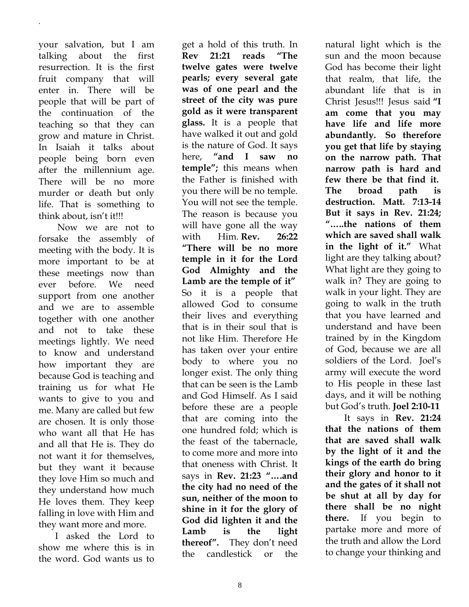your salvation, but I am talking about the first resurrection. It is the first fruit company that will enter in. There will be people that will be part of the continuation of the teaching so that they can grow and mature in Christ. In Isaiah it talks about people being born even after the millennium age. There will be no more murder or death but only life. That is something to think about, isn't it!!!

.

Now we are not to forsake the assembly of meeting with the body. It is more important to be at these meetings now than ever before. We need support from one another and we are to assemble together with one another and not to take these meetings lightly. We need to know and understand how important they are because God is teaching and training us for what He wants to give to you and me. Many are called but few are chosen. It is only those who want all that He has and all that He is. They do not want it for themselves, but they want it because they love Him so much and they understand how much He loves them. They keep falling in love with Him and they want more and more.

I asked the Lord to show me where this is in the word. God wants us to

get a hold of this truth. In **Rev 21:21 reads "The twelve gates were twelve pearls; every several gate was of one pearl and the street of the city was pure gold as it were transparent glass.** It is a people that have walked it out and gold is the nature of God. It says here, **"and I saw no temple";** this means when the Father is finished with you there will be no temple. You will not see the temple. The reason is because you will have gone all the way with Him. **Rev. 26:22 "There will be no more temple in it for the Lord God Almighty and the Lamb are the temple of it"** So it is a people that allowed God to consume their lives and everything that is in their soul that is not like Him. Therefore He has taken over your entire body to where you no longer exist. The only thing that can be seen is the Lamb and God Himself. As I said before these are a people that are coming into the one hundred fold; which is the feast of the tabernacle, to come more and more into that oneness with Christ. It says in **Rev. 21:23 "….and the city had no need of the sun, neither of the moon to shine in it for the glory of God did lighten it and the**  Lamb is the light **thereof".** They don't need the candlestick or the

natural light which is the sun and the moon because God has become their light that realm, that life, the abundant life that is in Christ Jesus!!! Jesus said **"I am come that you may have life and life more abundantly. So therefore you get that life by staying on the narrow path. That narrow path is hard and few there be that find it. The broad path is destruction. Matt. 7:13-14 But it says in Rev. 21:24; "…..the nations of them which are saved shall walk in the light of it."** What light are they talking about? What light are they going to walk in? They are going to walk in your light. They are going to walk in the truth that you have learned and understand and have been trained by in the Kingdom of God, because we are all soldiers of the Lord. Joel's army will execute the word to His people in these last days, and it will be nothing but God's truth. **Joel 2:10-11**

It says in **Rev. 21:24 that the nations of them that are saved shall walk by the light of it and the kings of the earth do bring their glory and honor to it and the gates of it shall not be shut at all by day for there shall be no night there.** If you begin to partake more and more of the truth and allow the Lord to change your thinking and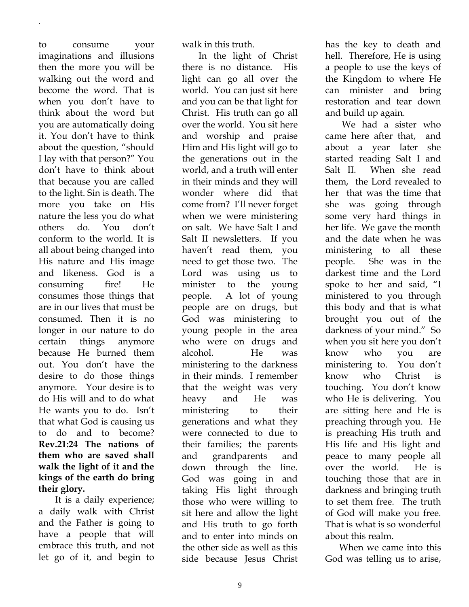to consume your imaginations and illusions then the more you will be walking out the word and become the word. That is when you don't have to think about the word but you are automatically doing it. You don't have to think about the question, "should I lay with that person?" You don't have to think about that because you are called to the light. Sin is death. The more you take on His nature the less you do what others do. You don't conform to the world. It is all about being changed into His nature and His image and likeness. God is a consuming fire! He consumes those things that are in our lives that must be consumed. Then it is no longer in our nature to do certain things anymore because He burned them out. You don't have the desire to do those things anymore. Your desire is to do His will and to do what He wants you to do. Isn't that what God is causing us to do and to become? **Rev.21:24 The nations of them who are saved shall walk the light of it and the kings of the earth do bring their glory.**

.

It is a daily experience; a daily walk with Christ and the Father is going to have a people that will embrace this truth, and not let go of it, and begin to

walk in this truth.

In the light of Christ there is no distance. His light can go all over the world. You can just sit here and you can be that light for Christ. His truth can go all over the world. You sit here and worship and praise Him and His light will go to the generations out in the world, and a truth will enter in their minds and they will wonder where did that come from? I'll never forget when we were ministering on salt. We have Salt I and Salt II newsletters. If you haven't read them, you need to get those two. The Lord was using us to minister to the young people. A lot of young people are on drugs, but God was ministering to young people in the area who were on drugs and alcohol. He was ministering to the darkness in their minds. I remember that the weight was very heavy and He was ministering to their generations and what they were connected to due to their families; the parents and grandparents and down through the line. God was going in and taking His light through those who were willing to sit here and allow the light and His truth to go forth and to enter into minds on the other side as well as this side because Jesus Christ

has the key to death and hell. Therefore, He is using a people to use the keys of the Kingdom to where He can minister and bring restoration and tear down and build up again.

We had a sister who came here after that, and about a year later she started reading Salt I and Salt II. When she read them, the Lord revealed to her that was the time that she was going through some very hard things in her life. We gave the month and the date when he was ministering to all these people. She was in the darkest time and the Lord spoke to her and said, "I ministered to you through this body and that is what brought you out of the darkness of your mind." So when you sit here you don't know who you are ministering to. You don't know who Christ is touching. You don't know who He is delivering. You are sitting here and He is preaching through you. He is preaching His truth and His life and His light and peace to many people all over the world. He is touching those that are in darkness and bringing truth to set them free. The truth of God will make you free. That is what is so wonderful about this realm.

 When we came into this God was telling us to arise,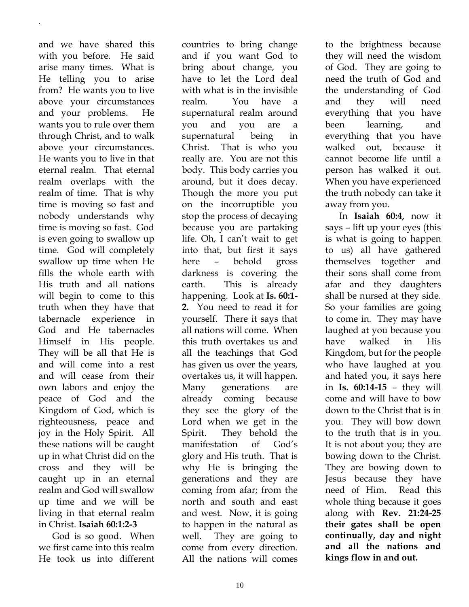and we have shared this with you before. He said arise many times. What is He telling you to arise from? He wants you to live above your circumstances and your problems. He wants you to rule over them through Christ, and to walk above your circumstances. He wants you to live in that eternal realm. That eternal realm overlaps with the realm of time. That is why time is moving so fast and nobody understands why time is moving so fast. God is even going to swallow up time. God will completely swallow up time when He fills the whole earth with His truth and all nations will begin to come to this truth when they have that tabernacle experience in God and He tabernacles Himself in His people. They will be all that He is and will come into a rest and will cease from their own labors and enjoy the peace of God and the Kingdom of God, which is righteousness, peace and joy in the Holy Spirit. All these nations will be caught up in what Christ did on the cross and they will be caught up in an eternal realm and God will swallow up time and we will be living in that eternal realm in Christ. **Isaiah 60:1:2-3**

.

 God is so good. When we first came into this realm He took us into different countries to bring change and if you want God to bring about change, you have to let the Lord deal with what is in the invisible realm. You have a supernatural realm around you and you are a supernatural being in Christ. That is who you really are. You are not this body. This body carries you around, but it does decay. Though the more you put on the incorruptible you stop the process of decaying because you are partaking life. Oh, I can't wait to get into that, but first it says here – behold gross darkness is covering the earth. This is already happening. Look at **Is. 60:1- 2.** You need to read it for yourself. There it says that all nations will come. When this truth overtakes us and all the teachings that God has given us over the years, overtakes us, it will happen. Many generations are already coming because they see the glory of the Lord when we get in the Spirit. They behold the manifestation of God's glory and His truth. That is why He is bringing the generations and they are coming from afar; from the north and south and east and west. Now, it is going to happen in the natural as well. They are going to come from every direction. All the nations will comes

to the brightness because they will need the wisdom of God. They are going to need the truth of God and the understanding of God and they will need everything that you have been learning, and everything that you have walked out, because it cannot become life until a person has walked it out. When you have experienced the truth nobody can take it away from you.

 In **Isaiah 60:4,** now it says – lift up your eyes (this is what is going to happen to us) all have gathered themselves together and their sons shall come from afar and they daughters shall be nursed at they side. So your families are going to come in. They may have laughed at you because you have walked in His Kingdom, but for the people who have laughed at you and hated you, it says here in **Is. 60:14-15** – they will come and will have to bow down to the Christ that is in you. They will bow down to the truth that is in you. It is not about you; they are bowing down to the Christ. They are bowing down to Jesus because they have need of Him. Read this whole thing because it goes along with **Rev. 21:24-25 their gates shall be open continually, day and night and all the nations and kings flow in and out.**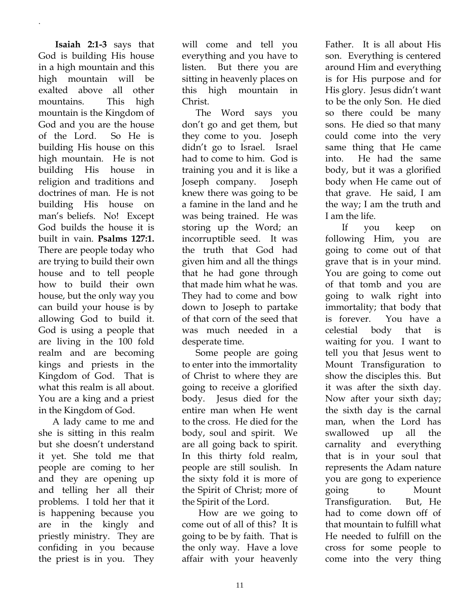**Isaiah 2:1-3** says that God is building His house in a high mountain and this high mountain will be exalted above all other mountains. This high mountain is the Kingdom of God and you are the house of the Lord. So He is building His house on this high mountain. He is not building His house in religion and traditions and doctrines of man. He is not building His house on man's beliefs. No! Except God builds the house it is built in vain. **Psalms 127:1.** There are people today who are trying to build their own house and to tell people how to build their own house, but the only way you can build your house is by allowing God to build it. God is using a people that are living in the 100 fold realm and are becoming kings and priests in the Kingdom of God. That is what this realm is all about. You are a king and a priest in the Kingdom of God.

.

 A lady came to me and she is sitting in this realm but she doesn't understand it yet. She told me that people are coming to her and they are opening up and telling her all their problems. I told her that it is happening because you are in the kingly and priestly ministry. They are confiding in you because the priest is in you. They

will come and tell you everything and you have to listen. But there you are sitting in heavenly places on this high mountain in Christ.

 The Word says you don't go and get them, but they come to you. Joseph didn't go to Israel. Israel had to come to him. God is training you and it is like a Joseph company. Joseph knew there was going to be a famine in the land and he was being trained. He was storing up the Word; an incorruptible seed. It was the truth that God had given him and all the things that he had gone through that made him what he was. They had to come and bow down to Joseph to partake of that corn of the seed that was much needed in a desperate time.

 Some people are going to enter into the immortality of Christ to where they are going to receive a glorified body. Jesus died for the entire man when He went to the cross. He died for the body, soul and spirit. We are all going back to spirit. In this thirty fold realm, people are still soulish. In the sixty fold it is more of the Spirit of Christ; more of the Spirit of the Lord.

How are we going to come out of all of this? It is going to be by faith. That is the only way. Have a love affair with your heavenly Father. It is all about His son. Everything is centered around Him and everything is for His purpose and for His glory. Jesus didn't want to be the only Son. He died so there could be many sons. He died so that many could come into the very same thing that He came into. He had the same body, but it was a glorified body when He came out of that grave. He said, I am the way; I am the truth and I am the life.

If you keep on following Him, you are going to come out of that grave that is in your mind. You are going to come out of that tomb and you are going to walk right into immortality; that body that is forever. You have a celestial body that is waiting for you. I want to tell you that Jesus went to Mount Transfiguration to show the disciples this. But it was after the sixth day. Now after your sixth day; the sixth day is the carnal man, when the Lord has swallowed up all the carnality and everything that is in your soul that represents the Adam nature you are gong to experience going to Mount Transfiguration. But, He had to come down off of that mountain to fulfill what He needed to fulfill on the cross for some people to come into the very thing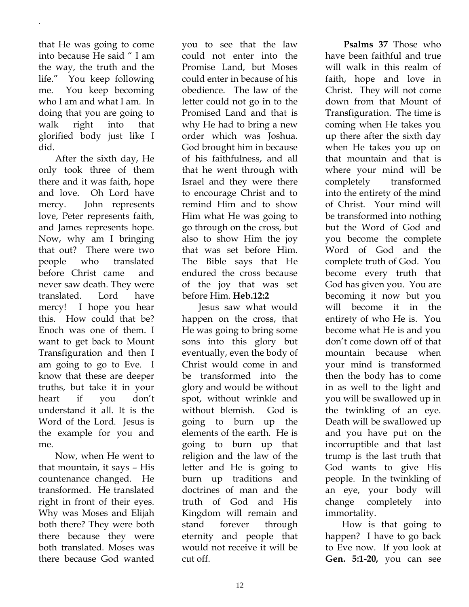that He was going to come into because He said " I am the way, the truth and the life." You keep following me. You keep becoming who I am and what I am. In doing that you are going to walk right into that glorified body just like I did.

.

After the sixth day, He only took three of them there and it was faith, hope and love. Oh Lord have mercy. John represents love, Peter represents faith, and James represents hope. Now, why am I bringing that out? There were two people who translated before Christ came and never saw death. They were translated. Lord have mercy! I hope you hear this. How could that be? Enoch was one of them. I want to get back to Mount Transfiguration and then I am going to go to Eve. I know that these are deeper truths, but take it in your heart if you don't understand it all. It is the Word of the Lord. Jesus is the example for you and me.

Now, when He went to that mountain, it says – His countenance changed. He transformed. He translated right in front of their eyes. Why was Moses and Elijah both there? They were both there because they were both translated. Moses was there because God wanted

you to see that the law could not enter into the Promise Land, but Moses could enter in because of his obedience. The law of the letter could not go in to the Promised Land and that is why He had to bring a new order which was Joshua. God brought him in because of his faithfulness, and all that he went through with Israel and they were there to encourage Christ and to remind Him and to show Him what He was going to go through on the cross, but also to show Him the joy that was set before Him. The Bible says that He endured the cross because of the joy that was set before Him. **Heb.12:2**

Jesus saw what would happen on the cross, that He was going to bring some sons into this glory but eventually, even the body of Christ would come in and be transformed into the glory and would be without spot, without wrinkle and without blemish. God is going to burn up the elements of the earth. He is going to burn up that religion and the law of the letter and He is going to burn up traditions and doctrines of man and the truth of God and His Kingdom will remain and stand forever through eternity and people that would not receive it will be cut off.

 **Psalms 37** Those who have been faithful and true will walk in this realm of faith, hope and love in Christ. They will not come down from that Mount of Transfiguration. The time is coming when He takes you up there after the sixth day when He takes you up on that mountain and that is where your mind will be completely transformed into the entirety of the mind of Christ. Your mind will be transformed into nothing but the Word of God and you become the complete Word of God and the complete truth of God. You become every truth that God has given you. You are becoming it now but you will become it in the entirety of who He is. You become what He is and you don't come down off of that mountain because when your mind is transformed then the body has to come in as well to the light and you will be swallowed up in the twinkling of an eye. Death will be swallowed up and you have put on the incorruptible and that last trump is the last truth that God wants to give His people. In the twinkling of an eye, your body will change completely into immortality.

How is that going to happen? I have to go back to Eve now. If you look at **Gen. 5:1-20,** you can see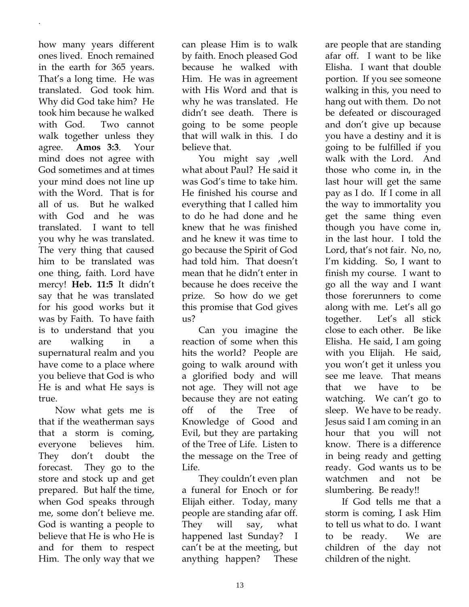how many years different ones lived. Enoch remained in the earth for 365 years. That's a long time. He was translated. God took him. Why did God take him? He took him because he walked with God. Two cannot walk together unless they agree. **Amos 3:3**. Your mind does not agree with God sometimes and at times your mind does not line up with the Word. That is for all of us. But he walked with God and he was translated. I want to tell you why he was translated. The very thing that caused him to be translated was one thing, faith. Lord have mercy! **Heb. 11:5** It didn't say that he was translated for his good works but it was by Faith. To have faith is to understand that you are walking in a supernatural realm and you have come to a place where you believe that God is who He is and what He says is true.

.

Now what gets me is that if the weatherman says that a storm is coming, everyone believes him. They don't doubt the forecast. They go to the store and stock up and get prepared. But half the time, when God speaks through me, some don't believe me. God is wanting a people to believe that He is who He is and for them to respect Him. The only way that we

can please Him is to walk by faith. Enoch pleased God because he walked with Him. He was in agreement with His Word and that is why he was translated. He didn't see death. There is going to be some people that will walk in this. I do believe that.

You might say ,well what about Paul? He said it was God's time to take him. He finished his course and everything that I called him to do he had done and he knew that he was finished and he knew it was time to go because the Spirit of God had told him. That doesn't mean that he didn't enter in because he does receive the prize. So how do we get this promise that God gives us?

Can you imagine the reaction of some when this hits the world? People are going to walk around with a glorified body and will not age. They will not age because they are not eating off of the Tree of Knowledge of Good and Evil, but they are partaking of the Tree of Life. Listen to the message on the Tree of Life.

They couldn't even plan a funeral for Enoch or for Elijah either. Today, many people are standing afar off. They will say, what happened last Sunday? I can't be at the meeting, but anything happen? These are people that are standing afar off. I want to be like Elisha. I want that double portion. If you see someone walking in this, you need to hang out with them. Do not be defeated or discouraged and don't give up because you have a destiny and it is going to be fulfilled if you walk with the Lord. And those who come in, in the last hour will get the same pay as I do. If I come in all the way to immortality you get the same thing even though you have come in, in the last hour. I told the Lord, that's not fair. No, no, I'm kidding. So, I want to finish my course. I want to go all the way and I want those forerunners to come along with me. Let's all go together. Let's all stick close to each other. Be like Elisha. He said, I am going with you Elijah. He said, you won't get it unless you see me leave. That means that we have to be watching. We can't go to sleep. We have to be ready. Jesus said I am coming in an hour that you will not know. There is a difference in being ready and getting ready. God wants us to be watchmen and not be slumbering. Be ready!!

If God tells me that a storm is coming, I ask Him to tell us what to do. I want to be ready. We are children of the day not children of the night.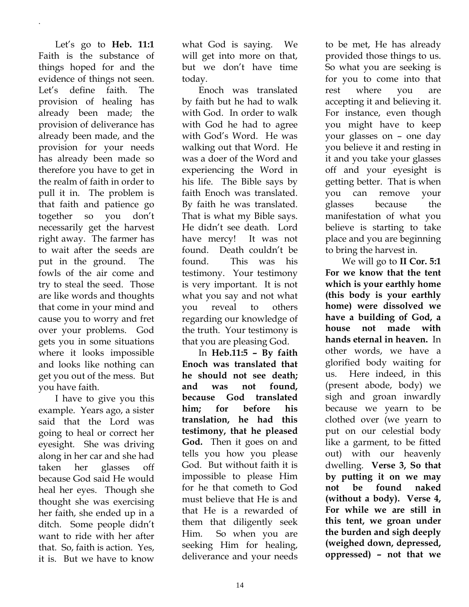Let's go to **Heb. 11:1** Faith is the substance of things hoped for and the evidence of things not seen. Let's define faith. The provision of healing has already been made; the provision of deliverance has already been made, and the provision for your needs has already been made so therefore you have to get in the realm of faith in order to pull it in. The problem is that faith and patience go together so you don't necessarily get the harvest right away. The farmer has to wait after the seeds are put in the ground. The fowls of the air come and try to steal the seed. Those are like words and thoughts that come in your mind and cause you to worry and fret over your problems. God gets you in some situations where it looks impossible and looks like nothing can get you out of the mess. But you have faith.

.

I have to give you this example. Years ago, a sister said that the Lord was going to heal or correct her eyesight. She was driving along in her car and she had taken her glasses off because God said He would heal her eyes. Though she thought she was exercising her faith, she ended up in a ditch. Some people didn't want to ride with her after that. So, faith is action. Yes, it is. But we have to know

what God is saying. We will get into more on that, but we don't have time today.

Enoch was translated by faith but he had to walk with God. In order to walk with God he had to agree with God's Word. He was walking out that Word. He was a doer of the Word and experiencing the Word in his life. The Bible says by faith Enoch was translated. By faith he was translated. That is what my Bible says. He didn't see death. Lord have mercy! It was not found. Death couldn't be found. This was his testimony. Your testimony is very important. It is not what you say and not what you reveal to others regarding our knowledge of the truth. Your testimony is that you are pleasing God.

In **Heb.11:5 – By faith Enoch was translated that he should not see death; and was not found, because God translated him; for before his translation, he had this testimony, that he pleased God.** Then it goes on and tells you how you please God. But without faith it is impossible to please Him for he that cometh to God must believe that He is and that He is a rewarded of them that diligently seek Him. So when you are seeking Him for healing, deliverance and your needs

to be met, He has already provided those things to us. So what you are seeking is for you to come into that rest where you are accepting it and believing it. For instance, even though you might have to keep your glasses on – one day you believe it and resting in it and you take your glasses off and your eyesight is getting better. That is when you can remove your glasses because the manifestation of what you believe is starting to take place and you are beginning to bring the harvest in.

We will go to **II Cor. 5:1 For we know that the tent which is your earthly home (this body is your earthly home) were dissolved we have a building of God, a house not made with hands eternal in heaven.** In other words, we have a glorified body waiting for us. Here indeed, in this (present abode, body) we sigh and groan inwardly because we yearn to be clothed over (we yearn to put on our celestial body like a garment, to be fitted out) with our heavenly dwelling. **Verse 3, So that by putting it on we may not be found naked (without a body). Verse 4, For while we are still in this tent, we groan under the burden and sigh deeply (weighed down, depressed, oppressed) – not that we**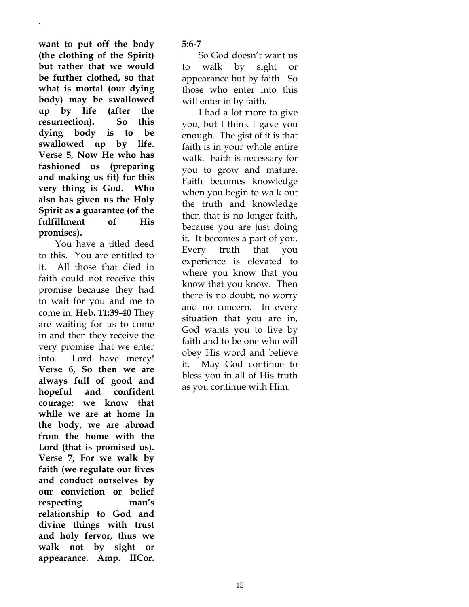**want to put off the body (the clothing of the Spirit) but rather that we would be further clothed, so that what is mortal (our dying body) may be swallowed up by life (after the resurrection). So this dying body is to be swallowed up by life. Verse 5, Now He who has fashioned us (preparing and making us fit) for this very thing is God. Who also has given us the Holy Spirit as a guarantee (of the fulfillment of His promises).**

.

You have a titled deed to this. You are entitled to it. All those that died in faith could not receive this promise because they had to wait for you and me to come in. **Heb. 11:39-40** They are waiting for us to come in and then they receive the very promise that we enter into. Lord have mercy! **Verse 6, So then we are always full of good and hopeful and confident courage; we know that while we are at home in the body, we are abroad from the home with the Lord (that is promised us). Verse 7, For we walk by faith (we regulate our lives and conduct ourselves by our conviction or belief respecting man's relationship to God and divine things with trust and holy fervor, thus we walk not by sight or appearance. Amp. IICor.** 

**5:6-7**

So God doesn't want us to walk by sight or appearance but by faith. So those who enter into this will enter in by faith.

I had a lot more to give you, but I think I gave you enough. The gist of it is that faith is in your whole entire walk. Faith is necessary for you to grow and mature. Faith becomes knowledge when you begin to walk out the truth and knowledge then that is no longer faith, because you are just doing it. It becomes a part of you. Every truth that you experience is elevated to where you know that you know that you know. Then there is no doubt, no worry and no concern. In every situation that you are in, God wants you to live by faith and to be one who will obey His word and believe it. May God continue to bless you in all of His truth as you continue with Him.